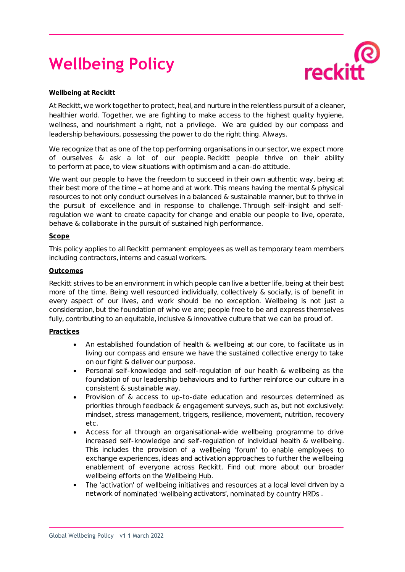# **Wellbeing Policy**



## **Wellbeing at Reckitt**

At Reckitt, we work together to protect, heal, and nurture in the relentless pursuit of a cleaner, healthier world. Together, we are fighting to make access to the highest quality hygiene, wellness, and nourishment a right, not a privilege. We are guided by our compass and leadership behaviours, possessing the power to do the right thing. Always.

We recognize that as one of the top performing organisations in our sector, we expect more of ourselves & ask a lot of our people. Reckitt people thrive on their ability to perform at pace, to view situations with optimism and a can-do attitude.

We want our people to have the freedom to succeed in their own authentic way, being at their best more of the time  $-$  at home and at work. This means having the mental & physical resources to not only conduct ourselves in a balanced & sustainable manner, but to thrive in the pursuit of excellence and in response to challenge. Through self-insight and selfregulation we want to create capacity for change and enable our people to live, operate, behave & collaborate in the pursuit of sustained high performance.

## **Scope**

This policy applies to all Reckitt permanent employees as well as temporary team members including contractors, interns and casual workers.

## **Outcomes**

Reckitt strives to be an environment in which people can live a better life, being at their best more of the time. Being well resourced individually, collectively & socially, is of benefit in every aspect of our lives, and work should be no exception. Wellbeing is not just a consideration, but the foundation of who we are; people free to be and express themselves fully, contributing to an equitable, inclusive & innovative culture that we can be proud of.

## **Practices**

- An established foundation of health & wellbeing at our core, to facilitate us in living our compass and ensure we have the sustained collective energy to take on our fight & deliver our purpose.
- Personal self-knowledge and self-regulation of our health & wellbeing as the foundation of our leadership behaviours and to further reinforce our culture in a consistent & sustainable way.
- Provision of & access to up-to-date education and resources determined as priorities through feedback & engagement surveys, such as, but not exclusively: mindset, stress management, triggers, resilience, movement, nutrition, recovery etc.
- Access for all through an organisational-wide wellbeing programme to drive increased self-knowledge and self-regulation of individual health & wellbeing. This includes the provision of a wellbeing 'forum' to enable employees to exchange experiences, ideas and activation approaches to further the wellbeing enablement of everyone across Reckitt. Find out more about our broader wellbeing efforts on the [Wellbeing](https://rbcom.sharepoint.com/sites/Wellbeing-site?market=en-US&CT=1613750125013&OR=OWA-NT&CID=e2fc5043-86d1-06d1-3e42-e339bf26577b) Hub.
- The 'activation' of wellbeing initiatives and resources at a local level driven by a network of nominated 'wellbeing activators', nominated by country HRDs.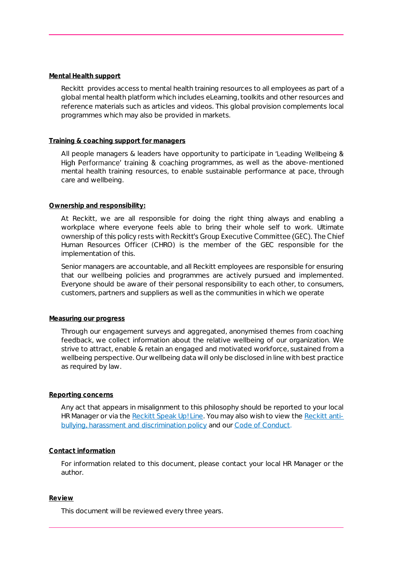#### **Mental Health support**

Reckitt provides access to mental health training resources to all employees as part of a global mental health platform which includes eLearning, toolkits and other resources and reference materials such as articles and videos. This global provision complements local programmes which may also be provided in markets.

## **Training & coaching support for managers**

All people managers & leaders have opportunity to participate in 'Leading Wellbeing  $\&$ High Performance' training & coaching programmes, as well as the above-mentioned mental health training resources, to enable sustainable performance at pace, through care and wellbeing.

## **Ownership and responsibility:**

At Reckitt, we are all responsible for doing the right thing always and enabling a workplace where everyone feels able to bring their whole self to work. Ultimate ownership of this policy rests with Reckitt's Group Executive Committee (GEC). The Chief Human Resources Officer (CHRO) is the member of the GEC responsible for the implementation of this.

Senior managers are accountable, and all Reckitt employees are responsible for ensuring that our wellbeing policies and programmes are actively pursued and implemented. Everyone should be aware of their personal responsibility to each other, to consumers, customers, partners and suppliers as well as the communities in which we operate

#### **Measuring our progress**

Through our engagement surveys and aggregated, anonymised themes from coaching feedback, we collect information about the relative wellbeing of our organization. We strive to attract, enable & retain an engaged and motivated workforce, sustained from a wellbeing perspective. Our wellbeing data will only be disclosed in line with best practice as required by law.

#### **Reporting concerns**

Any act that appears in misalignment to this philosophy should be reported to your local HR Manager or via the [Reckitt Speak Up! Line.](https://rbcom.sharepoint.com/sites/CorporatePolicies/Shared%20Documents/English/English%2004%20Speak%20Up%20Policy.pdf?CT=1649365862149&OR=ItemsView) You may also wish to view the [Reckitt anti](https://rbcom.sharepoint.com/sites/CorporatePolicies/Shared%20Documents/English/Anti-Harassment%20Discrimination%20and%20Bullying%20Policy,%20final%20for%20GEC%20review%2013.12.2021.pdf?CT=1649365962081&OR=ItemsView)[bullying, harassment and discrimination policy](https://rbcom.sharepoint.com/sites/CorporatePolicies/Shared%20Documents/English/Anti-Harassment%20Discrimination%20and%20Bullying%20Policy,%20final%20for%20GEC%20review%2013.12.2021.pdf?CT=1649365962081&OR=ItemsView) and our [Code of Conduct.](https://rbcom.sharepoint.com/sites/CorporatePolicies/Shared%20Documents/English/English%2001%20-%20Code%20of%20Conduct.pdf?CT=1649365911338&OR=ItemsView) 

## **Contact information**

For information related to this document, please contact your local HR Manager or the author.

#### **Review**

This document will be reviewed every three years.